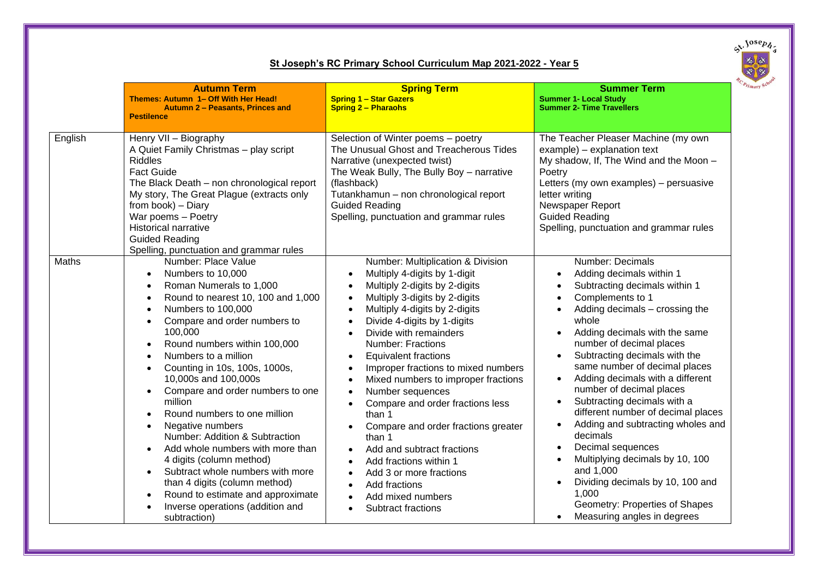

## **St Joseph's RC Primary School Curriculum Map 2021-2022 - Year 5**

|         | <b>Autumn Term</b><br>Themes: Autumn 1- Off With Her Head!<br>Autumn 2 - Peasants, Princes and<br><b>Pestilence</b>                                                                                                                                                                                                                                                                                                                                                                                                                                                                                                                                                                                                             | <b>Spring Term</b><br><b>Spring 1 - Star Gazers</b><br><b>Spring 2 - Pharaohs</b>                                                                                                                                                                                                                                                                                                                                                                                                                                                                                                                                                                                                                                                                             | <b>Summer Term</b><br><b>Summer 1- Local Study</b><br><b>Summer 2- Time Travellers</b>                                                                                                                                                                                                                                                                                                                                                                                                                                                                                                                                                                                         |
|---------|---------------------------------------------------------------------------------------------------------------------------------------------------------------------------------------------------------------------------------------------------------------------------------------------------------------------------------------------------------------------------------------------------------------------------------------------------------------------------------------------------------------------------------------------------------------------------------------------------------------------------------------------------------------------------------------------------------------------------------|---------------------------------------------------------------------------------------------------------------------------------------------------------------------------------------------------------------------------------------------------------------------------------------------------------------------------------------------------------------------------------------------------------------------------------------------------------------------------------------------------------------------------------------------------------------------------------------------------------------------------------------------------------------------------------------------------------------------------------------------------------------|--------------------------------------------------------------------------------------------------------------------------------------------------------------------------------------------------------------------------------------------------------------------------------------------------------------------------------------------------------------------------------------------------------------------------------------------------------------------------------------------------------------------------------------------------------------------------------------------------------------------------------------------------------------------------------|
| English | Henry VII - Biography<br>A Quiet Family Christmas - play script<br><b>Riddles</b><br><b>Fact Guide</b><br>The Black Death - non chronological report<br>My story, The Great Plague (extracts only<br>from book) - Diary<br>War poems - Poetry<br><b>Historical narrative</b><br><b>Guided Reading</b><br>Spelling, punctuation and grammar rules                                                                                                                                                                                                                                                                                                                                                                                | Selection of Winter poems - poetry<br>The Unusual Ghost and Treacherous Tides<br>Narrative (unexpected twist)<br>The Weak Bully, The Bully Boy - narrative<br>(flashback)<br>Tutankhamun - non chronological report<br><b>Guided Reading</b><br>Spelling, punctuation and grammar rules                                                                                                                                                                                                                                                                                                                                                                                                                                                                       | The Teacher Pleaser Machine (my own<br>example) - explanation text<br>My shadow, If, The Wind and the Moon -<br>Poetry<br>Letters (my own examples) - persuasive<br>letter writing<br>Newspaper Report<br><b>Guided Reading</b><br>Spelling, punctuation and grammar rules                                                                                                                                                                                                                                                                                                                                                                                                     |
| Maths   | Number: Place Value<br>Numbers to 10,000<br>$\bullet$<br>Roman Numerals to 1,000<br>Round to nearest 10, 100 and 1,000<br>Numbers to 100,000<br>Compare and order numbers to<br>$\bullet$<br>100,000<br>Round numbers within 100,000<br>$\bullet$<br>Numbers to a million<br>Counting in 10s, 100s, 1000s,<br>$\bullet$<br>10,000s and 100,000s<br>Compare and order numbers to one<br>million<br>Round numbers to one million<br>Negative numbers<br>$\bullet$<br>Number: Addition & Subtraction<br>Add whole numbers with more than<br>4 digits (column method)<br>Subtract whole numbers with more<br>than 4 digits (column method)<br>Round to estimate and approximate<br>Inverse operations (addition and<br>subtraction) | Number: Multiplication & Division<br>Multiply 4-digits by 1-digit<br>$\bullet$<br>Multiply 2-digits by 2-digits<br>Multiply 3-digits by 2-digits<br>$\bullet$<br>Multiply 4-digits by 2-digits<br>$\bullet$<br>Divide 4-digits by 1-digits<br>Divide with remainders<br><b>Number: Fractions</b><br><b>Equivalent fractions</b><br>$\bullet$<br>Improper fractions to mixed numbers<br>$\bullet$<br>Mixed numbers to improper fractions<br>Number sequences<br>$\bullet$<br>Compare and order fractions less<br>than 1<br>Compare and order fractions greater<br>than 1<br>Add and subtract fractions<br>$\bullet$<br>Add fractions within 1<br>Add 3 or more fractions<br>Add fractions<br>$\bullet$<br>Add mixed numbers<br>$\bullet$<br>Subtract fractions | Number: Decimals<br>Adding decimals within 1<br>Subtracting decimals within 1<br>Complements to 1<br>$\bullet$<br>Adding decimals - crossing the<br>$\bullet$<br>whole<br>Adding decimals with the same<br>number of decimal places<br>Subtracting decimals with the<br>same number of decimal places<br>Adding decimals with a different<br>number of decimal places<br>Subtracting decimals with a<br>different number of decimal places<br>Adding and subtracting wholes and<br>decimals<br>Decimal sequences<br>Multiplying decimals by 10, 100<br>and 1,000<br>Dividing decimals by 10, 100 and<br>1,000<br>Geometry: Properties of Shapes<br>Measuring angles in degrees |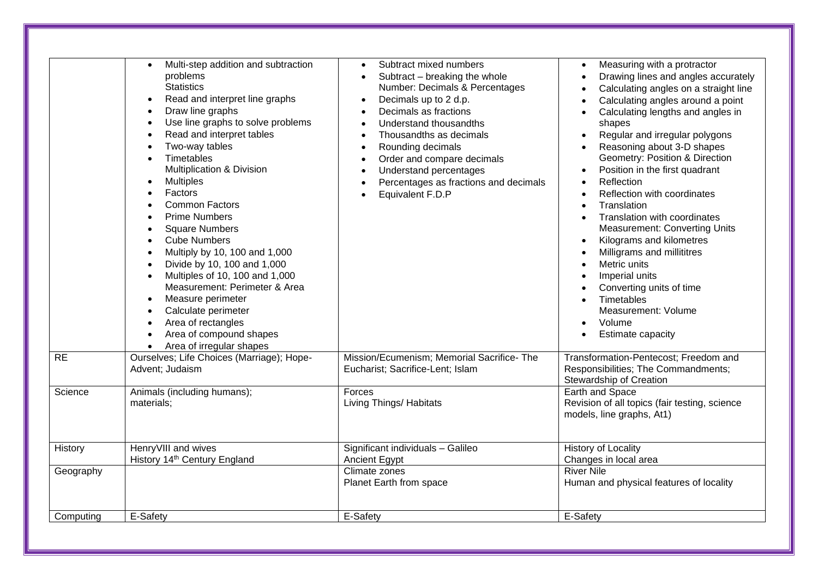| RE        | Multi-step addition and subtraction<br>problems<br><b>Statistics</b><br>Read and interpret line graphs<br>$\bullet$<br>Draw line graphs<br>$\bullet$<br>Use line graphs to solve problems<br>$\bullet$<br>Read and interpret tables<br>$\bullet$<br>Two-way tables<br>$\bullet$<br>Timetables<br>Multiplication & Division<br><b>Multiples</b><br>$\bullet$<br>Factors<br><b>Common Factors</b><br><b>Prime Numbers</b><br>$\bullet$<br><b>Square Numbers</b><br>$\bullet$<br><b>Cube Numbers</b><br>$\bullet$<br>Multiply by 10, 100 and 1,000<br>$\bullet$<br>Divide by 10, 100 and 1,000<br>$\bullet$<br>Multiples of 10, 100 and 1,000<br>$\bullet$<br>Measurement: Perimeter & Area<br>Measure perimeter<br>$\bullet$<br>Calculate perimeter<br>$\bullet$<br>Area of rectangles<br>Area of compound shapes<br>Area of irregular shapes<br>Ourselves; Life Choices (Marriage); Hope- | Subtract mixed numbers<br>Subtract - breaking the whole<br>$\bullet$<br>Number: Decimals & Percentages<br>Decimals up to 2 d.p.<br>$\bullet$<br>Decimals as fractions<br>$\bullet$<br>Understand thousandths<br>$\bullet$<br>Thousandths as decimals<br>$\bullet$<br>Rounding decimals<br>$\bullet$<br>Order and compare decimals<br>$\bullet$<br>Understand percentages<br>$\bullet$<br>Percentages as fractions and decimals<br>$\bullet$<br>Equivalent F.D.P<br>Mission/Ecumenism; Memorial Sacrifice-The | Measuring with a protractor<br>$\bullet$<br>Drawing lines and angles accurately<br>$\bullet$<br>Calculating angles on a straight line<br>$\bullet$<br>Calculating angles around a point<br>$\bullet$<br>Calculating lengths and angles in<br>shapes<br>Regular and irregular polygons<br>Reasoning about 3-D shapes<br>Geometry: Position & Direction<br>Position in the first quadrant<br>$\bullet$<br><b>Reflection</b><br>Reflection with coordinates<br>Translation<br>$\bullet$<br>Translation with coordinates<br><b>Measurement: Converting Units</b><br>Kilograms and kilometres<br>$\bullet$<br>Milligrams and millititres<br>Metric units<br>Imperial units<br>Converting units of time<br>Timetables<br>Measurement: Volume<br>Volume<br>Estimate capacity<br>Transformation-Pentecost; Freedom and |
|-----------|------------------------------------------------------------------------------------------------------------------------------------------------------------------------------------------------------------------------------------------------------------------------------------------------------------------------------------------------------------------------------------------------------------------------------------------------------------------------------------------------------------------------------------------------------------------------------------------------------------------------------------------------------------------------------------------------------------------------------------------------------------------------------------------------------------------------------------------------------------------------------------------|--------------------------------------------------------------------------------------------------------------------------------------------------------------------------------------------------------------------------------------------------------------------------------------------------------------------------------------------------------------------------------------------------------------------------------------------------------------------------------------------------------------|----------------------------------------------------------------------------------------------------------------------------------------------------------------------------------------------------------------------------------------------------------------------------------------------------------------------------------------------------------------------------------------------------------------------------------------------------------------------------------------------------------------------------------------------------------------------------------------------------------------------------------------------------------------------------------------------------------------------------------------------------------------------------------------------------------------|
|           | Advent; Judaism                                                                                                                                                                                                                                                                                                                                                                                                                                                                                                                                                                                                                                                                                                                                                                                                                                                                          | Eucharist; Sacrifice-Lent; Islam                                                                                                                                                                                                                                                                                                                                                                                                                                                                             | Responsibilities; The Commandments;<br>Stewardship of Creation                                                                                                                                                                                                                                                                                                                                                                                                                                                                                                                                                                                                                                                                                                                                                 |
| Science   | Animals (including humans);<br>materials;                                                                                                                                                                                                                                                                                                                                                                                                                                                                                                                                                                                                                                                                                                                                                                                                                                                | Forces<br>Living Things/ Habitats                                                                                                                                                                                                                                                                                                                                                                                                                                                                            | Earth and Space<br>Revision of all topics (fair testing, science<br>models, line graphs, At1)                                                                                                                                                                                                                                                                                                                                                                                                                                                                                                                                                                                                                                                                                                                  |
| History   | HenryVIII and wives<br>History 14th Century England                                                                                                                                                                                                                                                                                                                                                                                                                                                                                                                                                                                                                                                                                                                                                                                                                                      | Significant individuals - Galileo<br>Ancient Egypt                                                                                                                                                                                                                                                                                                                                                                                                                                                           | <b>History of Locality</b><br>Changes in local area                                                                                                                                                                                                                                                                                                                                                                                                                                                                                                                                                                                                                                                                                                                                                            |
| Geography |                                                                                                                                                                                                                                                                                                                                                                                                                                                                                                                                                                                                                                                                                                                                                                                                                                                                                          | Climate zones<br>Planet Earth from space                                                                                                                                                                                                                                                                                                                                                                                                                                                                     | <b>River Nile</b><br>Human and physical features of locality                                                                                                                                                                                                                                                                                                                                                                                                                                                                                                                                                                                                                                                                                                                                                   |
| Computing | E-Safety                                                                                                                                                                                                                                                                                                                                                                                                                                                                                                                                                                                                                                                                                                                                                                                                                                                                                 | E-Safety                                                                                                                                                                                                                                                                                                                                                                                                                                                                                                     | E-Safety                                                                                                                                                                                                                                                                                                                                                                                                                                                                                                                                                                                                                                                                                                                                                                                                       |